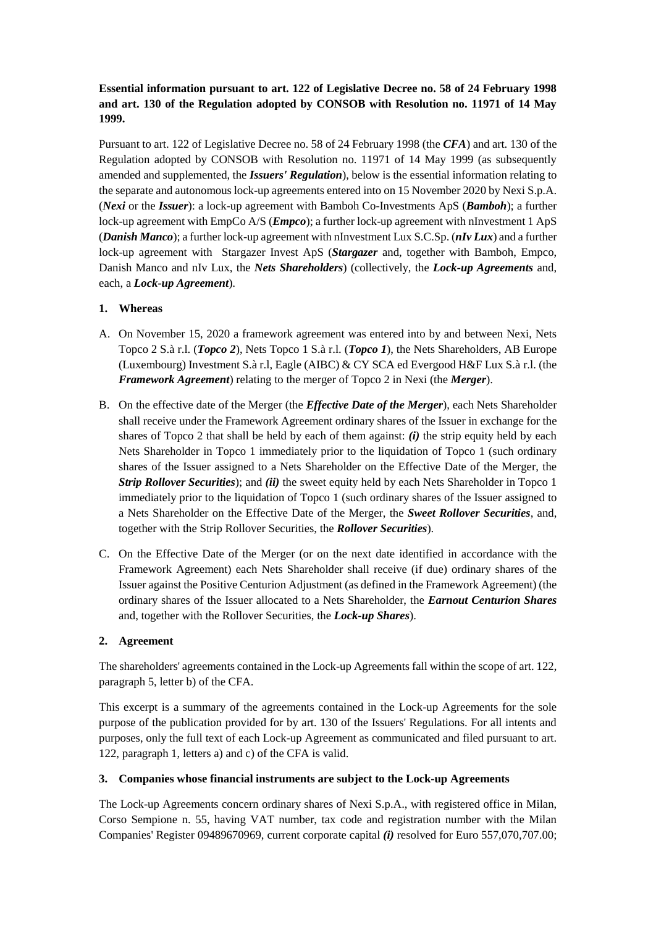# **Essential information pursuant to art. 122 of Legislative Decree no. 58 of 24 February 1998 and art. 130 of the Regulation adopted by CONSOB with Resolution no. 11971 of 14 May 1999.**

Pursuant to art. 122 of Legislative Decree no. 58 of 24 February 1998 (the *CFA*) and art. 130 of the Regulation adopted by CONSOB with Resolution no. 11971 of 14 May 1999 (as subsequently amended and supplemented, the *Issuers' Regulation*), below is the essential information relating to the separate and autonomous lock-up agreements entered into on 15 November 2020 by Nexi S.p.A. (*Nexi* or the *Issuer*): a lock-up agreement with Bamboh Co-Investments ApS (*Bamboh*); a further lock-up agreement with EmpCo A/S (*Empco*); a further lock-up agreement with nInvestment 1 ApS (*Danish Manco*); a further lock-up agreement with nInvestment Lux S.C.Sp. (*nIv Lux*) and a further lock-up agreement with Stargazer Invest ApS (*Stargazer* and, together with Bamboh, Empco, Danish Manco and nIv Lux, the *Nets Shareholders*) (collectively, the *Lock-up Agreements* and, each, a *Lock-up Agreement*).

## **1. Whereas**

- A. On November 15, 2020 a framework agreement was entered into by and between Nexi, Nets Topco 2 S.à r.l. (*Topco 2*), Nets Topco 1 S.à r.l. (*Topco 1*), the Nets Shareholders, AB Europe (Luxembourg) Investment S.à r.l, Eagle (AIBC) & CY SCA ed Evergood H&F Lux S.à r.l. (the *Framework Agreement*) relating to the merger of Topco 2 in Nexi (the *Merger*).
- B. On the effective date of the Merger (the *Effective Date of the Merger*), each Nets Shareholder shall receive under the Framework Agreement ordinary shares of the Issuer in exchange for the shares of Topco 2 that shall be held by each of them against: *(i)* the strip equity held by each Nets Shareholder in Topco 1 immediately prior to the liquidation of Topco 1 (such ordinary shares of the Issuer assigned to a Nets Shareholder on the Effective Date of the Merger, the *Strip Rollover Securities*); and *(ii)* the sweet equity held by each Nets Shareholder in Topco 1 immediately prior to the liquidation of Topco 1 (such ordinary shares of the Issuer assigned to a Nets Shareholder on the Effective Date of the Merger, the *Sweet Rollover Securities*, and, together with the Strip Rollover Securities, the *Rollover Securities*).
- C. On the Effective Date of the Merger (or on the next date identified in accordance with the Framework Agreement) each Nets Shareholder shall receive (if due) ordinary shares of the Issuer against the Positive Centurion Adjustment (as defined in the Framework Agreement) (the ordinary shares of the Issuer allocated to a Nets Shareholder, the *Earnout Centurion Shares* and, together with the Rollover Securities, the *Lock-up Shares*).

### **2. Agreement**

The shareholders' agreements contained in the Lock-up Agreements fall within the scope of art. 122, paragraph 5, letter b) of the CFA.

This excerpt is a summary of the agreements contained in the Lock-up Agreements for the sole purpose of the publication provided for by art. 130 of the Issuers' Regulations. For all intents and purposes, only the full text of each Lock-up Agreement as communicated and filed pursuant to art. 122, paragraph 1, letters a) and c) of the CFA is valid.

### **3. Companies whose financial instruments are subject to the Lock-up Agreements**

The Lock-up Agreements concern ordinary shares of Nexi S.p.A., with registered office in Milan, Corso Sempione n. 55, having VAT number, tax code and registration number with the Milan Companies' Register 09489670969, current corporate capital *(i)* resolved for Euro 557,070,707.00;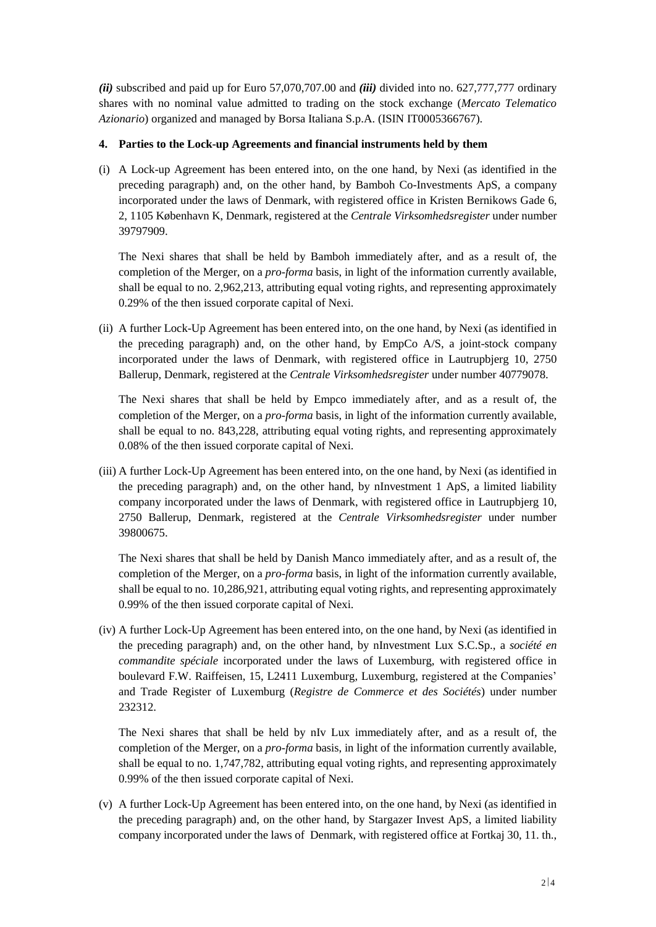*(ii)* subscribed and paid up for Euro 57,070,707.00 and *(iii)* divided into no. 627,777,777 ordinary shares with no nominal value admitted to trading on the stock exchange (*Mercato Telematico Azionario*) organized and managed by Borsa Italiana S.p.A. (ISIN IT0005366767).

### **4. Parties to the Lock-up Agreements and financial instruments held by them**

(i) A Lock-up Agreement has been entered into, on the one hand, by Nexi (as identified in the preceding paragraph) and, on the other hand, by Bamboh Co-Investments ApS, a company incorporated under the laws of Denmark, with registered office in Kristen Bernikows Gade 6, 2, 1105 København K, Denmark, registered at the *Centrale Virksomhedsregister* under number 39797909.

The Nexi shares that shall be held by Bamboh immediately after, and as a result of, the completion of the Merger, on a *pro-forma* basis, in light of the information currently available, shall be equal to no. 2,962,213, attributing equal voting rights, and representing approximately 0.29% of the then issued corporate capital of Nexi.

(ii) A further Lock-Up Agreement has been entered into, on the one hand, by Nexi (as identified in the preceding paragraph) and, on the other hand, by EmpCo A/S, a joint-stock company incorporated under the laws of Denmark, with registered office in Lautrupbjerg 10, 2750 Ballerup, Denmark, registered at the *Centrale Virksomhedsregister* under number 40779078.

The Nexi shares that shall be held by Empco immediately after, and as a result of, the completion of the Merger, on a *pro-forma* basis, in light of the information currently available, shall be equal to no. 843,228, attributing equal voting rights, and representing approximately 0.08% of the then issued corporate capital of Nexi.

(iii) A further Lock-Up Agreement has been entered into, on the one hand, by Nexi (as identified in the preceding paragraph) and, on the other hand, by nInvestment 1 ApS, a limited liability company incorporated under the laws of Denmark, with registered office in Lautrupbjerg 10, 2750 Ballerup, Denmark, registered at the *Centrale Virksomhedsregister* under number 39800675.

The Nexi shares that shall be held by Danish Manco immediately after, and as a result of, the completion of the Merger, on a *pro-forma* basis, in light of the information currently available, shall be equal to no. 10,286,921, attributing equal voting rights, and representing approximately 0.99% of the then issued corporate capital of Nexi.

(iv) A further Lock-Up Agreement has been entered into, on the one hand, by Nexi (as identified in the preceding paragraph) and, on the other hand, by nInvestment Lux S.C.Sp., a *société en commandite spéciale* incorporated under the laws of Luxemburg, with registered office in boulevard F.W. Raiffeisen, 15, L2411 Luxemburg, Luxemburg, registered at the Companies' and Trade Register of Luxemburg (*Registre de Commerce et des Sociétés*) under number 232312.

The Nexi shares that shall be held by nIv Lux immediately after, and as a result of, the completion of the Merger, on a *pro-forma* basis, in light of the information currently available, shall be equal to no. 1,747,782, attributing equal voting rights, and representing approximately 0.99% of the then issued corporate capital of Nexi.

(v) A further Lock-Up Agreement has been entered into, on the one hand, by Nexi (as identified in the preceding paragraph) and, on the other hand, by Stargazer Invest ApS, a limited liability company incorporated under the laws of Denmark, with registered office at Fortkaj 30, 11. th.,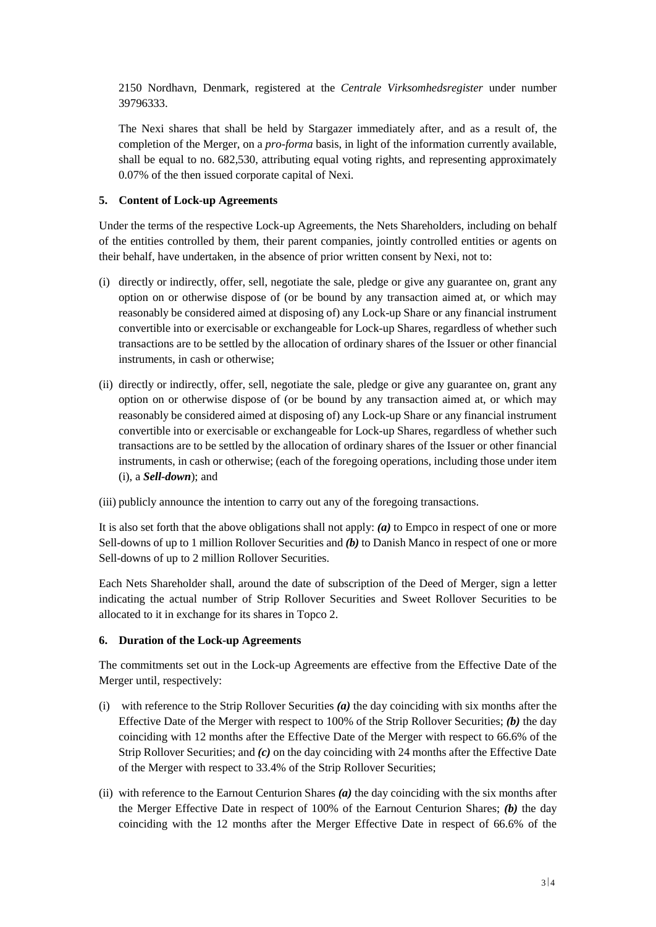2150 Nordhavn, Denmark, registered at the *Centrale Virksomhedsregister* under number 39796333.

The Nexi shares that shall be held by Stargazer immediately after, and as a result of, the completion of the Merger, on a *pro-forma* basis, in light of the information currently available, shall be equal to no. 682,530, attributing equal voting rights, and representing approximately 0.07% of the then issued corporate capital of Nexi.

## **5. Content of Lock-up Agreements**

Under the terms of the respective Lock-up Agreements, the Nets Shareholders, including on behalf of the entities controlled by them, their parent companies, jointly controlled entities or agents on their behalf, have undertaken, in the absence of prior written consent by Nexi, not to:

- (i) directly or indirectly, offer, sell, negotiate the sale, pledge or give any guarantee on, grant any option on or otherwise dispose of (or be bound by any transaction aimed at, or which may reasonably be considered aimed at disposing of) any Lock-up Share or any financial instrument convertible into or exercisable or exchangeable for Lock-up Shares, regardless of whether such transactions are to be settled by the allocation of ordinary shares of the Issuer or other financial instruments, in cash or otherwise;
- (ii) directly or indirectly, offer, sell, negotiate the sale, pledge or give any guarantee on, grant any option on or otherwise dispose of (or be bound by any transaction aimed at, or which may reasonably be considered aimed at disposing of) any Lock-up Share or any financial instrument convertible into or exercisable or exchangeable for Lock-up Shares, regardless of whether such transactions are to be settled by the allocation of ordinary shares of the Issuer or other financial instruments, in cash or otherwise; (each of the foregoing operations, including those under item (i), a *Sell-down*); and
- (iii) publicly announce the intention to carry out any of the foregoing transactions.

It is also set forth that the above obligations shall not apply: *(a)* to Empco in respect of one or more Sell-downs of up to 1 million Rollover Securities and *(b)* to Danish Manco in respect of one or more Sell-downs of up to 2 million Rollover Securities.

Each Nets Shareholder shall, around the date of subscription of the Deed of Merger, sign a letter indicating the actual number of Strip Rollover Securities and Sweet Rollover Securities to be allocated to it in exchange for its shares in Topco 2.

### **6. Duration of the Lock-up Agreements**

The commitments set out in the Lock-up Agreements are effective from the Effective Date of the Merger until, respectively:

- (i) with reference to the Strip Rollover Securities *(a)* the day coinciding with six months after the Effective Date of the Merger with respect to 100% of the Strip Rollover Securities; *(b)* the day coinciding with 12 months after the Effective Date of the Merger with respect to 66.6% of the Strip Rollover Securities; and *(c)* on the day coinciding with 24 months after the Effective Date of the Merger with respect to 33.4% of the Strip Rollover Securities;
- (ii) with reference to the Earnout Centurion Shares *(a)* the day coinciding with the six months after the Merger Effective Date in respect of 100% of the Earnout Centurion Shares; *(b)* the day coinciding with the 12 months after the Merger Effective Date in respect of 66.6% of the